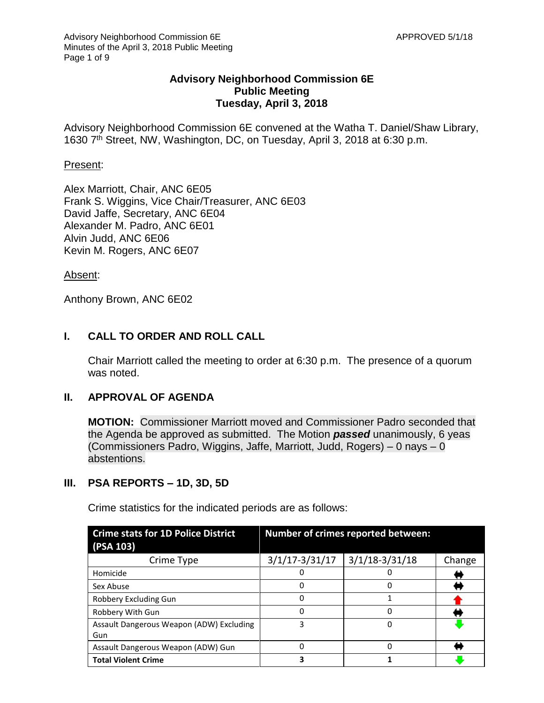# **Advisory Neighborhood Commission 6E Public Meeting Tuesday, April 3, 2018**

Advisory Neighborhood Commission 6E convened at the Watha T. Daniel/Shaw Library, 1630 7th Street, NW, Washington, DC, on Tuesday, April 3, 2018 at 6:30 p.m.

#### Present:

Alex Marriott, Chair, ANC 6E05 Frank S. Wiggins, Vice Chair/Treasurer, ANC 6E03 David Jaffe, Secretary, ANC 6E04 Alexander M. Padro, ANC 6E01 Alvin Judd, ANC 6E06 Kevin M. Rogers, ANC 6E07

Absent:

Anthony Brown, ANC 6E02

# **I. CALL TO ORDER AND ROLL CALL**

Chair Marriott called the meeting to order at 6:30 p.m. The presence of a quorum was noted.

# **II. APPROVAL OF AGENDA**

**MOTION:** Commissioner Marriott moved and Commissioner Padro seconded that the Agenda be approved as submitted. The Motion *passed* unanimously, 6 yeas (Commissioners Padro, Wiggins, Jaffe, Marriott, Judd, Rogers) – 0 nays – 0 abstentions.

# **III. PSA REPORTS – 1D, 3D, 5D**

| <b>Crime stats for 1D Police District</b><br>(PSA 103) |                    | Number of crimes reported between: |        |
|--------------------------------------------------------|--------------------|------------------------------------|--------|
| Crime Type                                             | $3/1/17 - 3/31/17$ | $3/1/18 - 3/31/18$                 | Change |
| Homicide                                               |                    |                                    |        |
| Sex Abuse                                              | 0                  |                                    |        |
| Robbery Excluding Gun                                  | 0                  |                                    |        |
| Robbery With Gun                                       | 0                  |                                    |        |
| Assault Dangerous Weapon (ADW) Excluding<br>Gun        | 3                  |                                    |        |
| Assault Dangerous Weapon (ADW) Gun                     | 0                  |                                    |        |
| <b>Total Violent Crime</b>                             | 3                  |                                    |        |

Crime statistics for the indicated periods are as follows: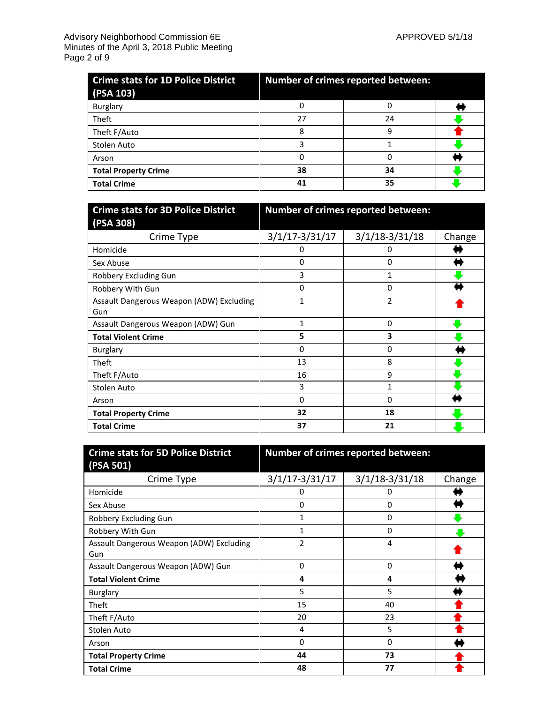| <b>Crime stats for 1D Police District</b><br>(PSA 103) | <b>Number of crimes reported between:</b> |    |  |
|--------------------------------------------------------|-------------------------------------------|----|--|
| Burglary                                               |                                           |    |  |
| <b>Theft</b>                                           | 27                                        | 24 |  |
| Theft F/Auto                                           | 8                                         | q  |  |
| Stolen Auto                                            |                                           |    |  |
| Arson                                                  |                                           |    |  |
| <b>Total Property Crime</b>                            | 38                                        | 34 |  |
| <b>Total Crime</b>                                     | 41                                        | 35 |  |

| <b>Crime stats for 3D Police District</b> | Number of crimes reported between: |                  |        |
|-------------------------------------------|------------------------------------|------------------|--------|
| (PSA 308)                                 |                                    |                  |        |
| Crime Type                                | $3/1/17 - 3/31/17$                 | $3/1/18-3/31/18$ | Change |
| Homicide                                  | 0                                  |                  |        |
| Sex Abuse                                 | 0                                  | 0                |        |
| Robbery Excluding Gun                     | 3                                  |                  |        |
| Robbery With Gun                          | 0                                  | 0                |        |
| Assault Dangerous Weapon (ADW) Excluding  | 1                                  | 2                |        |
| Gun                                       |                                    |                  |        |
| Assault Dangerous Weapon (ADW) Gun        | $\mathbf{1}$                       | 0                |        |
| <b>Total Violent Crime</b>                | 5                                  | 3                |        |
| <b>Burglary</b>                           | 0                                  | 0                |        |
| Theft                                     | 13                                 | 8                |        |
| Theft F/Auto                              | 16                                 | 9                |        |
| Stolen Auto                               | 3                                  |                  |        |
| Arson                                     | 0                                  | 0                |        |
| <b>Total Property Crime</b>               | 32                                 | 18               |        |
| <b>Total Crime</b>                        | 37                                 | 21               |        |

| <b>Crime stats for 5D Police District</b>       | Number of crimes reported between: |                  |        |
|-------------------------------------------------|------------------------------------|------------------|--------|
| (PSA 501)                                       |                                    |                  |        |
| Crime Type                                      | $3/1/17 - 3/31/17$                 | $3/1/18-3/31/18$ | Change |
| Homicide                                        | υ                                  |                  |        |
| Sex Abuse                                       | 0                                  | 0                |        |
| Robbery Excluding Gun                           | 1                                  | 0                |        |
| Robbery With Gun                                | 1                                  | 0                |        |
| Assault Dangerous Weapon (ADW) Excluding<br>Gun | 2                                  | 4                |        |
| Assault Dangerous Weapon (ADW) Gun              | 0                                  | 0                |        |
| <b>Total Violent Crime</b>                      | 4                                  | 4                |        |
| <b>Burglary</b>                                 | 5                                  | 5                |        |
| Theft                                           | 15                                 | 40               |        |
| Theft F/Auto                                    | 20                                 | 23               |        |
| Stolen Auto                                     | 4                                  | 5                |        |
| Arson                                           | 0                                  | 0                |        |
| <b>Total Property Crime</b>                     | 44                                 | 73               |        |
| <b>Total Crime</b>                              | 48                                 | 77               |        |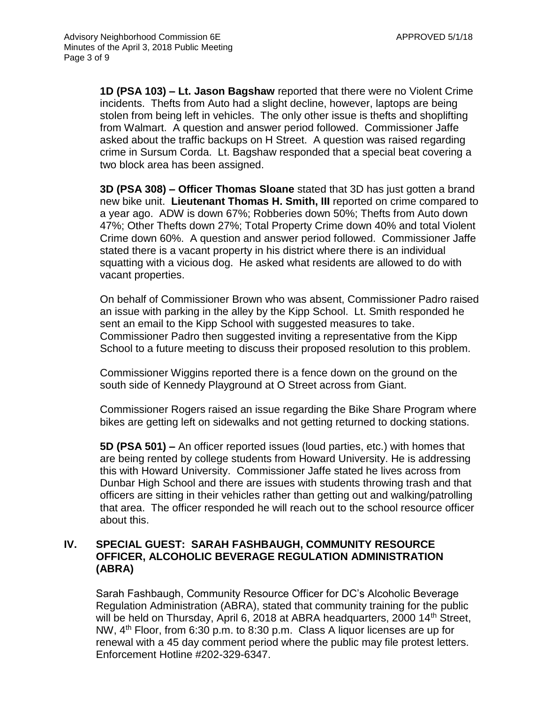**1D (PSA 103) – Lt. Jason Bagshaw** reported that there were no Violent Crime incidents. Thefts from Auto had a slight decline, however, laptops are being stolen from being left in vehicles. The only other issue is thefts and shoplifting from Walmart. A question and answer period followed. Commissioner Jaffe asked about the traffic backups on H Street. A question was raised regarding crime in Sursum Corda. Lt. Bagshaw responded that a special beat covering a two block area has been assigned.

**3D (PSA 308) – Officer Thomas Sloane** stated that 3D has just gotten a brand new bike unit. **Lieutenant Thomas H. Smith, III** reported on crime compared to a year ago. ADW is down 67%; Robberies down 50%; Thefts from Auto down 47%; Other Thefts down 27%; Total Property Crime down 40% and total Violent Crime down 60%. A question and answer period followed. Commissioner Jaffe stated there is a vacant property in his district where there is an individual squatting with a vicious dog. He asked what residents are allowed to do with vacant properties.

On behalf of Commissioner Brown who was absent, Commissioner Padro raised an issue with parking in the alley by the Kipp School. Lt. Smith responded he sent an email to the Kipp School with suggested measures to take. Commissioner Padro then suggested inviting a representative from the Kipp School to a future meeting to discuss their proposed resolution to this problem.

Commissioner Wiggins reported there is a fence down on the ground on the south side of Kennedy Playground at O Street across from Giant.

Commissioner Rogers raised an issue regarding the Bike Share Program where bikes are getting left on sidewalks and not getting returned to docking stations.

**5D (PSA 501) –** An officer reported issues (loud parties, etc.) with homes that are being rented by college students from Howard University. He is addressing this with Howard University. Commissioner Jaffe stated he lives across from Dunbar High School and there are issues with students throwing trash and that officers are sitting in their vehicles rather than getting out and walking/patrolling that area. The officer responded he will reach out to the school resource officer about this.

# **IV. SPECIAL GUEST: SARAH FASHBAUGH, COMMUNITY RESOURCE OFFICER, ALCOHOLIC BEVERAGE REGULATION ADMINISTRATION (ABRA)**

Sarah Fashbaugh, Community Resource Officer for DC's Alcoholic Beverage Regulation Administration (ABRA), stated that community training for the public will be held on Thursday, April 6, 2018 at ABRA headquarters, 2000 14<sup>th</sup> Street, NW,  $4<sup>th</sup>$  Floor, from 6:30 p.m. to 8:30 p.m. Class A liquor licenses are up for renewal with a 45 day comment period where the public may file protest letters. Enforcement Hotline #202-329-6347.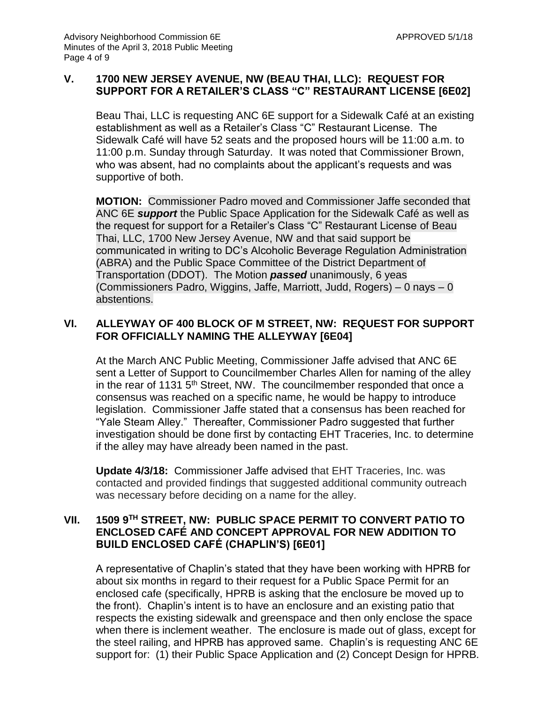# **V. 1700 NEW JERSEY AVENUE, NW (BEAU THAI, LLC): REQUEST FOR SUPPORT FOR A RETAILER'S CLASS "C" RESTAURANT LICENSE [6E02]**

Beau Thai, LLC is requesting ANC 6E support for a Sidewalk Café at an existing establishment as well as a Retailer's Class "C" Restaurant License. The Sidewalk Café will have 52 seats and the proposed hours will be 11:00 a.m. to 11:00 p.m. Sunday through Saturday. It was noted that Commissioner Brown, who was absent, had no complaints about the applicant's requests and was supportive of both.

**MOTION:** Commissioner Padro moved and Commissioner Jaffe seconded that ANC 6E *support* the Public Space Application for the Sidewalk Café as well as the request for support for a Retailer's Class "C" Restaurant License of Beau Thai, LLC, 1700 New Jersey Avenue, NW and that said support be communicated in writing to DC's Alcoholic Beverage Regulation Administration (ABRA) and the Public Space Committee of the District Department of Transportation (DDOT). The Motion *passed* unanimously, 6 yeas (Commissioners Padro, Wiggins, Jaffe, Marriott, Judd, Rogers) – 0 nays – 0 abstentions.

# **VI. ALLEYWAY OF 400 BLOCK OF M STREET, NW: REQUEST FOR SUPPORT FOR OFFICIALLY NAMING THE ALLEYWAY [6E04]**

At the March ANC Public Meeting, Commissioner Jaffe advised that ANC 6E sent a Letter of Support to Councilmember Charles Allen for naming of the alley in the rear of 1131  $5<sup>th</sup>$  Street, NW. The councilmember responded that once a consensus was reached on a specific name, he would be happy to introduce legislation. Commissioner Jaffe stated that a consensus has been reached for "Yale Steam Alley." Thereafter, Commissioner Padro suggested that further investigation should be done first by contacting EHT Traceries, Inc. to determine if the alley may have already been named in the past.

**Update 4/3/18:** Commissioner Jaffe advised that EHT Traceries, Inc. was contacted and provided findings that suggested additional community outreach was necessary before deciding on a name for the alley.

# **VII. 1509 9TH STREET, NW: PUBLIC SPACE PERMIT TO CONVERT PATIO TO ENCLOSED CAFÉ AND CONCEPT APPROVAL FOR NEW ADDITION TO BUILD ENCLOSED CAFÉ (CHAPLIN'S) [6E01]**

A representative of Chaplin's stated that they have been working with HPRB for about six months in regard to their request for a Public Space Permit for an enclosed cafe (specifically, HPRB is asking that the enclosure be moved up to the front). Chaplin's intent is to have an enclosure and an existing patio that respects the existing sidewalk and greenspace and then only enclose the space when there is inclement weather. The enclosure is made out of glass, except for the steel railing, and HPRB has approved same. Chaplin's is requesting ANC 6E support for: (1) their Public Space Application and (2) Concept Design for HPRB.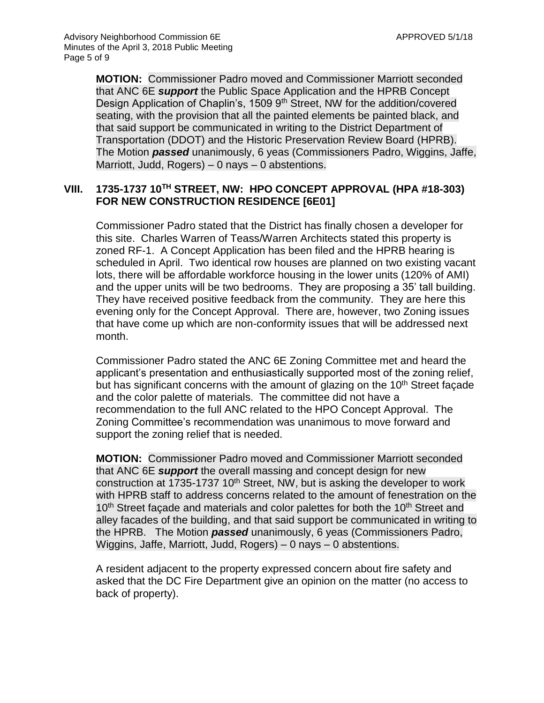**MOTION:** Commissioner Padro moved and Commissioner Marriott seconded that ANC 6E *support* the Public Space Application and the HPRB Concept Design Application of Chaplin's, 1509 9<sup>th</sup> Street, NW for the addition/covered seating, with the provision that all the painted elements be painted black, and that said support be communicated in writing to the District Department of Transportation (DDOT) and the Historic Preservation Review Board (HPRB). The Motion *passed* unanimously, 6 yeas (Commissioners Padro, Wiggins, Jaffe, Marriott, Judd, Rogers) – 0 nays – 0 abstentions.

# **VIII. 1735-1737 10TH STREET, NW: HPO CONCEPT APPROVAL (HPA #18-303) FOR NEW CONSTRUCTION RESIDENCE [6E01]**

Commissioner Padro stated that the District has finally chosen a developer for this site. Charles Warren of Teass/Warren Architects stated this property is zoned RF-1. A Concept Application has been filed and the HPRB hearing is scheduled in April. Two identical row houses are planned on two existing vacant lots, there will be affordable workforce housing in the lower units (120% of AMI) and the upper units will be two bedrooms. They are proposing a 35' tall building. They have received positive feedback from the community. They are here this evening only for the Concept Approval. There are, however, two Zoning issues that have come up which are non-conformity issues that will be addressed next month.

Commissioner Padro stated the ANC 6E Zoning Committee met and heard the applicant's presentation and enthusiastically supported most of the zoning relief, but has significant concerns with the amount of glazing on the 10<sup>th</sup> Street façade and the color palette of materials. The committee did not have a recommendation to the full ANC related to the HPO Concept Approval. The Zoning Committee's recommendation was unanimous to move forward and support the zoning relief that is needed.

**MOTION:** Commissioner Padro moved and Commissioner Marriott seconded that ANC 6E *support* the overall massing and concept design for new construction at 1735-1737 10<sup>th</sup> Street, NW, but is asking the developer to work with HPRB staff to address concerns related to the amount of fenestration on the 10<sup>th</sup> Street facade and materials and color palettes for both the 10<sup>th</sup> Street and alley facades of the building, and that said support be communicated in writing to the HPRB. The Motion *passed* unanimously, 6 yeas (Commissioners Padro, Wiggins, Jaffe, Marriott, Judd, Rogers) – 0 nays – 0 abstentions.

A resident adjacent to the property expressed concern about fire safety and asked that the DC Fire Department give an opinion on the matter (no access to back of property).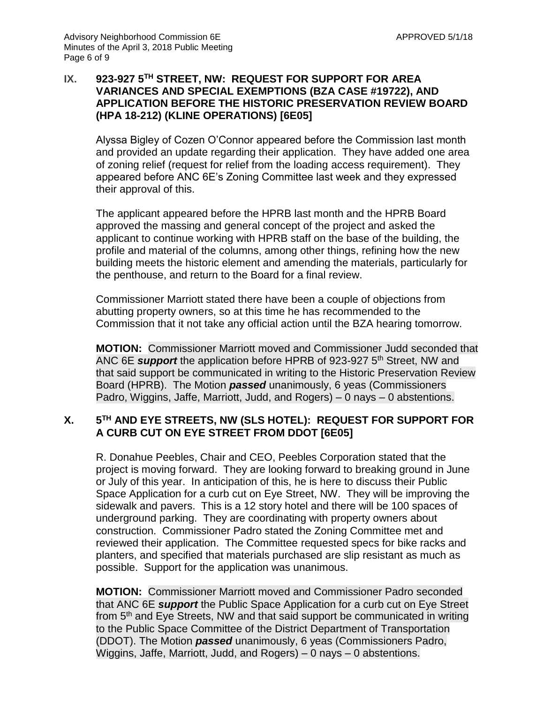# **IX. 923-927 5TH STREET, NW: REQUEST FOR SUPPORT FOR AREA VARIANCES AND SPECIAL EXEMPTIONS (BZA CASE #19722), AND APPLICATION BEFORE THE HISTORIC PRESERVATION REVIEW BOARD (HPA 18-212) (KLINE OPERATIONS) [6E05]**

Alyssa Bigley of Cozen O'Connor appeared before the Commission last month and provided an update regarding their application. They have added one area of zoning relief (request for relief from the loading access requirement). They appeared before ANC 6E's Zoning Committee last week and they expressed their approval of this.

The applicant appeared before the HPRB last month and the HPRB Board approved the massing and general concept of the project and asked the applicant to continue working with HPRB staff on the base of the building, the profile and material of the columns, among other things, refining how the new building meets the historic element and amending the materials, particularly for the penthouse, and return to the Board for a final review.

Commissioner Marriott stated there have been a couple of objections from abutting property owners, so at this time he has recommended to the Commission that it not take any official action until the BZA hearing tomorrow.

**MOTION:** Commissioner Marriott moved and Commissioner Judd seconded that ANC 6E *support* the application before HPRB of 923-927 5th Street, NW and that said support be communicated in writing to the Historic Preservation Review Board (HPRB). The Motion *passed* unanimously, 6 yeas (Commissioners Padro, Wiggins, Jaffe, Marriott, Judd, and Rogers) – 0 nays – 0 abstentions.

#### **X. 5 TH AND EYE STREETS, NW (SLS HOTEL): REQUEST FOR SUPPORT FOR A CURB CUT ON EYE STREET FROM DDOT [6E05]**

R. Donahue Peebles, Chair and CEO, Peebles Corporation stated that the project is moving forward. They are looking forward to breaking ground in June or July of this year. In anticipation of this, he is here to discuss their Public Space Application for a curb cut on Eye Street, NW. They will be improving the sidewalk and pavers. This is a 12 story hotel and there will be 100 spaces of underground parking. They are coordinating with property owners about construction. Commissioner Padro stated the Zoning Committee met and reviewed their application. The Committee requested specs for bike racks and planters, and specified that materials purchased are slip resistant as much as possible. Support for the application was unanimous.

**MOTION:** Commissioner Marriott moved and Commissioner Padro seconded that ANC 6E *support* the Public Space Application for a curb cut on Eye Street from 5<sup>th</sup> and Eye Streets, NW and that said support be communicated in writing to the Public Space Committee of the District Department of Transportation (DDOT). The Motion *passed* unanimously, 6 yeas (Commissioners Padro, Wiggins, Jaffe, Marriott, Judd, and Rogers) – 0 nays – 0 abstentions.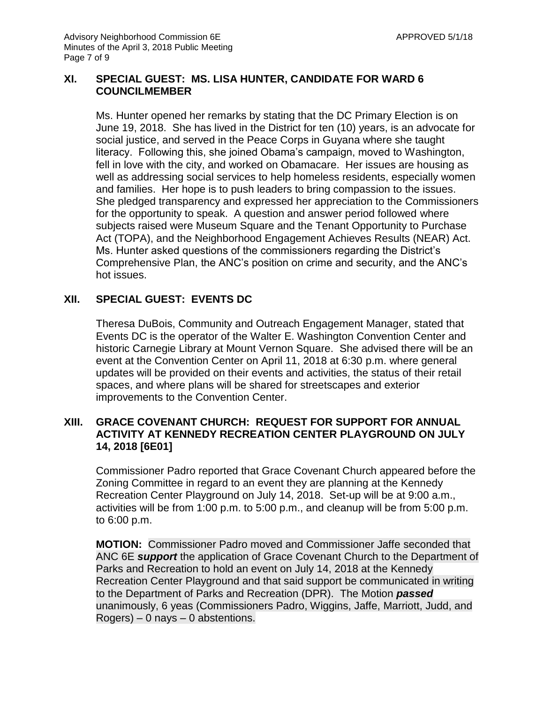#### **XI. SPECIAL GUEST: MS. LISA HUNTER, CANDIDATE FOR WARD 6 COUNCILMEMBER**

Ms. Hunter opened her remarks by stating that the DC Primary Election is on June 19, 2018. She has lived in the District for ten (10) years, is an advocate for social justice, and served in the Peace Corps in Guyana where she taught literacy. Following this, she joined Obama's campaign, moved to Washington, fell in love with the city, and worked on Obamacare. Her issues are housing as well as addressing social services to help homeless residents, especially women and families. Her hope is to push leaders to bring compassion to the issues. She pledged transparency and expressed her appreciation to the Commissioners for the opportunity to speak. A question and answer period followed where subjects raised were Museum Square and the Tenant Opportunity to Purchase Act (TOPA), and the Neighborhood Engagement Achieves Results (NEAR) Act. Ms. Hunter asked questions of the commissioners regarding the District's Comprehensive Plan, the ANC's position on crime and security, and the ANC's hot issues.

# **XII. SPECIAL GUEST: EVENTS DC**

Theresa DuBois, Community and Outreach Engagement Manager, stated that Events DC is the operator of the Walter E. Washington Convention Center and historic Carnegie Library at Mount Vernon Square. She advised there will be an event at the Convention Center on April 11, 2018 at 6:30 p.m. where general updates will be provided on their events and activities, the status of their retail spaces, and where plans will be shared for streetscapes and exterior improvements to the Convention Center.

# **XIII. GRACE COVENANT CHURCH: REQUEST FOR SUPPORT FOR ANNUAL ACTIVITY AT KENNEDY RECREATION CENTER PLAYGROUND ON JULY 14, 2018 [6E01]**

Commissioner Padro reported that Grace Covenant Church appeared before the Zoning Committee in regard to an event they are planning at the Kennedy Recreation Center Playground on July 14, 2018. Set-up will be at 9:00 a.m., activities will be from 1:00 p.m. to 5:00 p.m., and cleanup will be from 5:00 p.m. to 6:00 p.m.

**MOTION:** Commissioner Padro moved and Commissioner Jaffe seconded that ANC 6E *support* the application of Grace Covenant Church to the Department of Parks and Recreation to hold an event on July 14, 2018 at the Kennedy Recreation Center Playground and that said support be communicated in writing to the Department of Parks and Recreation (DPR). The Motion *passed* unanimously, 6 yeas (Commissioners Padro, Wiggins, Jaffe, Marriott, Judd, and  $Rogers$ ) – 0 nays – 0 abstentions.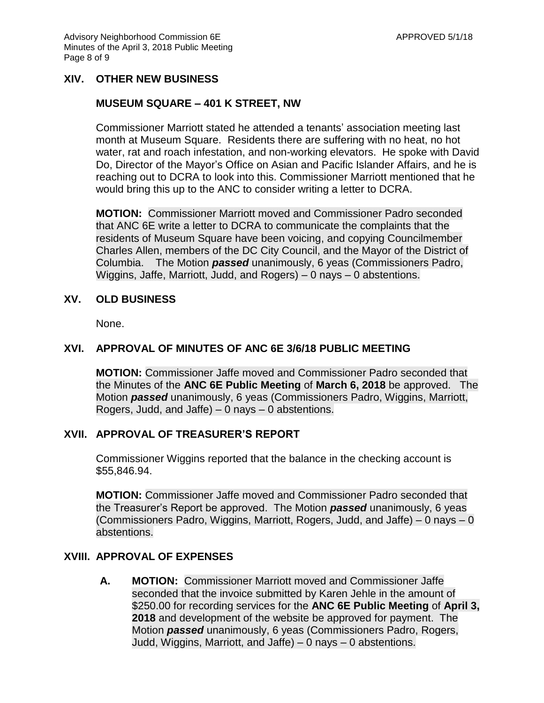# **XIV. OTHER NEW BUSINESS**

#### **MUSEUM SQUARE – 401 K STREET, NW**

Commissioner Marriott stated he attended a tenants' association meeting last month at Museum Square. Residents there are suffering with no heat, no hot water, rat and roach infestation, and non-working elevators. He spoke with David Do, Director of the Mayor's Office on Asian and Pacific Islander Affairs, and he is reaching out to DCRA to look into this. Commissioner Marriott mentioned that he would bring this up to the ANC to consider writing a letter to DCRA.

**MOTION:** Commissioner Marriott moved and Commissioner Padro seconded that ANC 6E write a letter to DCRA to communicate the complaints that the residents of Museum Square have been voicing, and copying Councilmember Charles Allen, members of the DC City Council, and the Mayor of the District of Columbia. The Motion *passed* unanimously, 6 yeas (Commissioners Padro, Wiggins, Jaffe, Marriott, Judd, and Rogers) – 0 nays – 0 abstentions.

## **XV. OLD BUSINESS**

None.

#### **XVI. APPROVAL OF MINUTES OF ANC 6E 3/6/18 PUBLIC MEETING**

**MOTION:** Commissioner Jaffe moved and Commissioner Padro seconded that the Minutes of the **ANC 6E Public Meeting** of **March 6, 2018** be approved. The Motion *passed* unanimously, 6 yeas (Commissioners Padro, Wiggins, Marriott, Rogers, Judd, and Jaffe)  $-0$  nays  $-0$  abstentions.

#### **XVII. APPROVAL OF TREASURER'S REPORT**

Commissioner Wiggins reported that the balance in the checking account is \$55,846.94.

**MOTION:** Commissioner Jaffe moved and Commissioner Padro seconded that the Treasurer's Report be approved. The Motion *passed* unanimously, 6 yeas (Commissioners Padro, Wiggins, Marriott, Rogers, Judd, and Jaffe) – 0 nays – 0 abstentions.

# **XVIII. APPROVAL OF EXPENSES**

**A. MOTION:** Commissioner Marriott moved and Commissioner Jaffe seconded that the invoice submitted by Karen Jehle in the amount of \$250.00 for recording services for the **ANC 6E Public Meeting** of **April 3, 2018** and development of the website be approved for payment. The Motion *passed* unanimously, 6 yeas (Commissioners Padro, Rogers, Judd, Wiggins, Marriott, and Jaffe) – 0 nays – 0 abstentions.